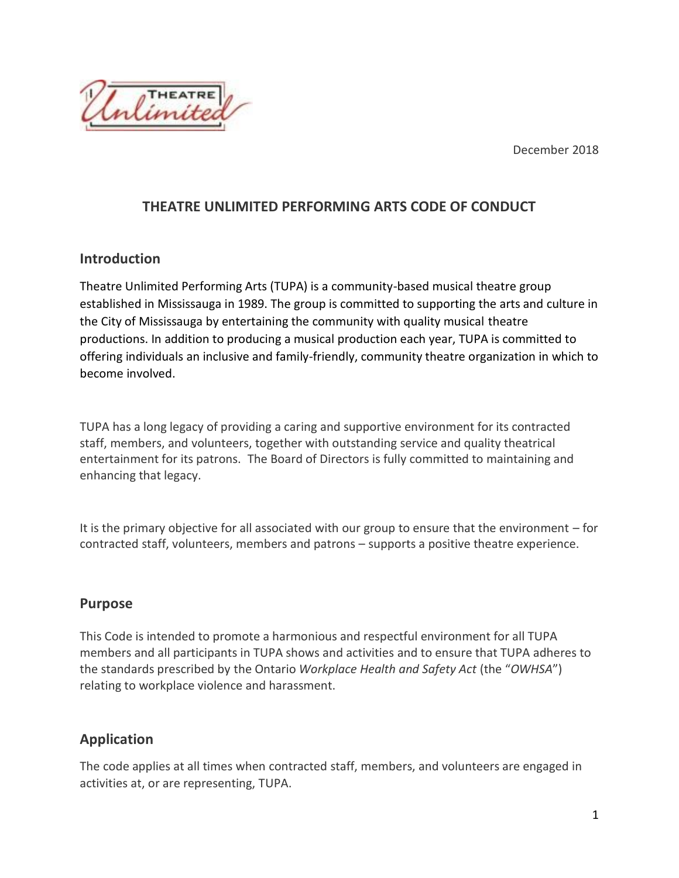December 2018



## **THEATRE UNLIMITED PERFORMING ARTS CODE OF CONDUCT**

## **Introduction**

Theatre Unlimited Performing Arts (TUPA) is a community-based musical theatre group established in Mississauga in 1989. The group is committed to supporting the arts and culture in the City of Mississauga by entertaining the community with quality musical theatre productions. In addition to producing a musical production each year, TUPA is committed to offering individuals an inclusive and family-friendly, community theatre organization in which to become involved.

TUPA has a long legacy of providing a caring and supportive environment for its contracted staff, members, and volunteers, together with outstanding service and quality theatrical entertainment for its patrons. The Board of Directors is fully committed to maintaining and enhancing that legacy.

It is the primary objective for all associated with our group to ensure that the environment – for contracted staff, volunteers, members and patrons – supports a positive theatre experience.

## **Purpose**

This Code is intended to promote a harmonious and respectful environment for all TUPA members and all participants in TUPA shows and activities and to ensure that TUPA adheres to the standards prescribed by the Ontario *Workplace Health and Safety Act* (the "*OWHSA*") relating to workplace violence and harassment.

# **Application**

The code applies at all times when contracted staff, members, and volunteers are engaged in activities at, or are representing, TUPA.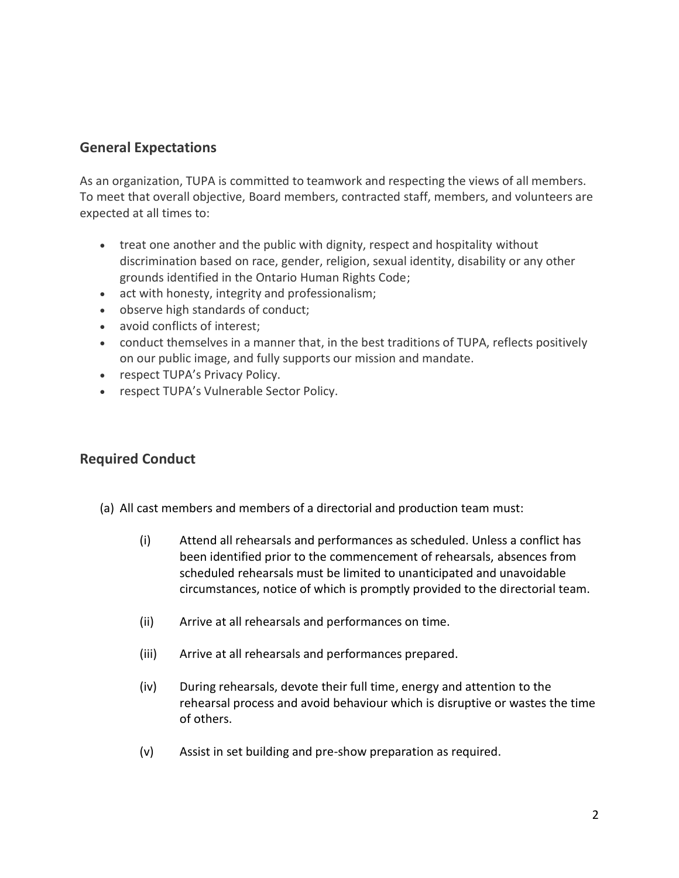### **General Expectations**

As an organization, TUPA is committed to teamwork and respecting the views of all members. To meet that overall objective, Board members, contracted staff, members, and volunteers are expected at all times to:

- treat one another and the public with dignity, respect and hospitality without discrimination based on race, gender, religion, sexual identity, disability or any other grounds identified in the Ontario Human Rights Code;
- act with honesty, integrity and professionalism;
- observe high standards of conduct;
- avoid conflicts of interest;
- conduct themselves in a manner that, in the best traditions of TUPA, reflects positively on our public image, and fully supports our mission and mandate.
- respect TUPA's Privacy Policy.
- respect TUPA's Vulnerable Sector Policy.

## **Required Conduct**

- (a) All cast members and members of a directorial and production team must:
	- (i) Attend all rehearsals and performances as scheduled. Unless a conflict has been identified prior to the commencement of rehearsals, absences from scheduled rehearsals must be limited to unanticipated and unavoidable circumstances, notice of which is promptly provided to the directorial team.
	- (ii) Arrive at all rehearsals and performances on time.
	- (iii) Arrive at all rehearsals and performances prepared.
	- (iv) During rehearsals, devote their full time, energy and attention to the rehearsal process and avoid behaviour which is disruptive or wastes the time of others.
	- (v) Assist in set building and pre-show preparation as required.